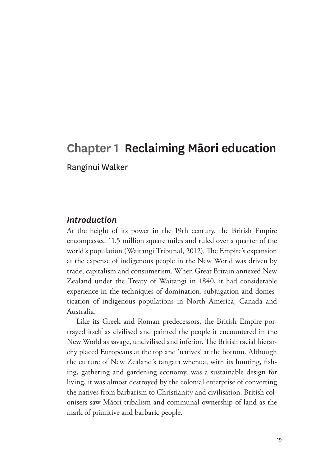# **Chapter 1 Reclaiming Māori education**  Ranginui Walker

#### *Introduction*

At the height of its power in the 19th century, the British Empire encompassed 11.5 million square miles and ruled over a quarter of the world's population (Waitangi Tribunal, 2012). The Empire's expansion at the expense of indigenous people in the New World was driven by trade, capitalism and consumerism. When Great Britain annexed New Zealand under the Treaty of Waitangi in 1840, it had considerable experience in the techniques of domination, subjugation and domestication of indigenous populations in North America, Canada and Australia.

Like its Greek and Roman predecessors, the British Empire portrayed itself as civilised and painted the people it encountered in the New World as savage, uncivilised and inferior. The British racial hierarchy placed Europeans at the top and 'natives' at the bottom. Although the culture of New Zealand's tangata whenua, with its hunting, fishing, gathering and gardening economy, was a sustainable design for living, it was almost destroyed by the colonial enterprise of converting the natives from barbarism to Christianity and civilisation. British colonisers saw Māori tribalism and communal ownership of land as the mark of primitive and barbaric people.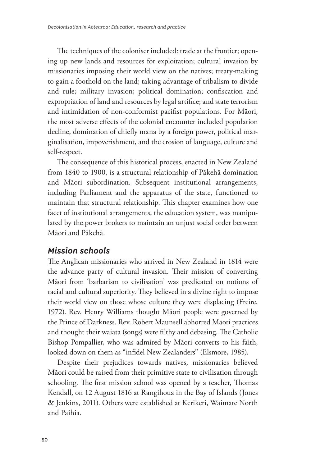The techniques of the coloniser included: trade at the frontier; opening up new lands and resources for exploitation; cultural invasion by missionaries imposing their world view on the natives; treaty-making to gain a foothold on the land; taking advantage of tribalism to divide and rule; military invasion; political domination; confiscation and expropriation of land and resources by legal artifice; and state terrorism and intimidation of non-conformist pacifist populations. For Māori, the most adverse effects of the colonial encounter included population decline, domination of chiefly mana by a foreign power, political marginalisation, impoverishment, and the erosion of language, culture and self-respect.

The consequence of this historical process, enacted in New Zealand from 1840 to 1900, is a structural relationship of Pākehā domination and Māori subordination. Subsequent institutional arrangements, including Parliament and the apparatus of the state, functioned to maintain that structural relationship. This chapter examines how one facet of institutional arrangements, the education system, was manipulated by the power brokers to maintain an unjust social order between Māori and Pākehā.

### *Mission schools*

The Anglican missionaries who arrived in New Zealand in 1814 were the advance party of cultural invasion. Their mission of converting Māori from 'barbarism to civilisation' was predicated on notions of racial and cultural superiority. They believed in a divine right to impose their world view on those whose culture they were displacing (Freire, 1972). Rev. Henry Williams thought Māori people were governed by the Prince of Darkness. Rev. Robert Maunsell abhorred Māori practices and thought their waiata (songs) were filthy and debasing. The Catholic Bishop Pompallier, who was admired by Māori converts to his faith, looked down on them as "infidel New Zealanders" (Elsmore, 1985).

Despite their prejudices towards natives, missionaries believed Māori could be raised from their primitive state to civilisation through schooling. The first mission school was opened by a teacher, Thomas Kendall, on 12 August 1816 at Rangihoua in the Bay of Islands (Jones & Jenkins, 2011). Others were established at Kerikeri, Waimate North and Paihia.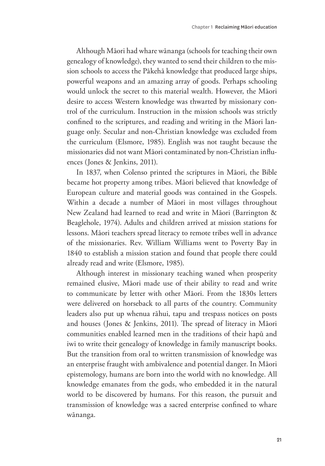Although Māori had whare wānanga (schools for teaching their own genealogy of knowledge), they wanted to send their children to the mission schools to access the Pākehā knowledge that produced large ships, powerful weapons and an amazing array of goods. Perhaps schooling would unlock the secret to this material wealth. However, the Māori desire to access Western knowledge was thwarted by missionary control of the curriculum. Instruction in the mission schools was strictly confined to the scriptures, and reading and writing in the Māori language only. Secular and non-Christian knowledge was excluded from the curriculum (Elsmore, 1985). English was not taught because the missionaries did not want Māori contaminated by non-Christian influences (Jones & Jenkins, 2011).

In 1837, when Colenso printed the scriptures in Māori, the Bible became hot property among tribes. Māori believed that knowledge of European culture and material goods was contained in the Gospels. Within a decade a number of Māori in most villages throughout New Zealand had learned to read and write in Māori (Barrington & Beaglehole, 1974). Adults and children arrived at mission stations for lessons. Māori teachers spread literacy to remote tribes well in advance of the missionaries. Rev. William Williams went to Poverty Bay in 1840 to establish a mission station and found that people there could already read and write (Elsmore, 1985).

Although interest in missionary teaching waned when prosperity remained elusive, Māori made use of their ability to read and write to communicate by letter with other Māori. From the 1830s letters were delivered on horseback to all parts of the country. Community leaders also put up whenua rāhui, tapu and trespass notices on posts and houses (Jones & Jenkins, 2011). The spread of literacy in Māori communities enabled learned men in the traditions of their hapū and iwi to write their genealogy of knowledge in family manuscript books. But the transition from oral to written transmission of knowledge was an enterprise fraught with ambivalence and potential danger. In Māori epistemology, humans are born into the world with no knowledge. All knowledge emanates from the gods, who embedded it in the natural world to be discovered by humans. For this reason, the pursuit and transmission of knowledge was a sacred enterprise confined to whare wānanga.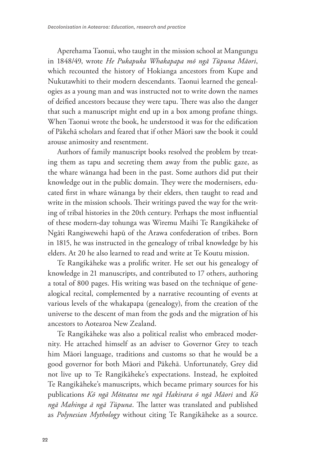Aperehama Taonui, who taught in the mission school at Mangungu in 1848/49, wrote *He Pukapuka Whakapapa mō ngā Tūpuna Māori*, which recounted the history of Hokianga ancestors from Kupe and Nukutawhiti to their modern descendants. Taonui learned the genealogies as a young man and was instructed not to write down the names of deified ancestors because they were tapu. There was also the danger that such a manuscript might end up in a box among profane things. When Taonui wrote the book, he understood it was for the edification of Pākehā scholars and feared that if other Māori saw the book it could arouse animosity and resentment.

Authors of family manuscript books resolved the problem by treating them as tapu and secreting them away from the public gaze, as the whare wānanga had been in the past. Some authors did put their knowledge out in the public domain. They were the modernisers, educated first in whare wānanga by their elders, then taught to read and write in the mission schools. Their writings paved the way for the writing of tribal histories in the 20th century. Perhaps the most influential of these modern-day tohunga was Wiremu Maihi Te Rangikāheke of Ngāti Rangiwewehi hapū of the Arawa confederation of tribes. Born in 1815, he was instructed in the genealogy of tribal knowledge by his elders. At 20 he also learned to read and write at Te Koutu mission.

Te Rangikāheke was a prolific writer. He set out his genealogy of knowledge in 21 manuscripts, and contributed to 17 others, authoring a total of 800 pages. His writing was based on the technique of genealogical recital, complemented by a narrative recounting of events at various levels of the whakapapa (genealogy), from the creation of the universe to the descent of man from the gods and the migration of his ancestors to Aotearoa New Zealand.

Te Rangikāheke was also a political realist who embraced modernity. He attached himself as an adviser to Governor Grey to teach him Māori language, traditions and customs so that he would be a good governor for both Māori and Pākehā. Unfortunately, Grey did not live up to Te Rangikāheke's expectations. Instead, he exploited Te Rangikāheke's manuscripts, which became primary sources for his publications *Kō ngā Mōteatea me ngā Hakirara ō ngā Māori* and *Kō ngā Mahinga ā ngā Tūpuna*. The latter was translated and published as *Polynesian Mythology* without citing Te Rangikāheke as a source.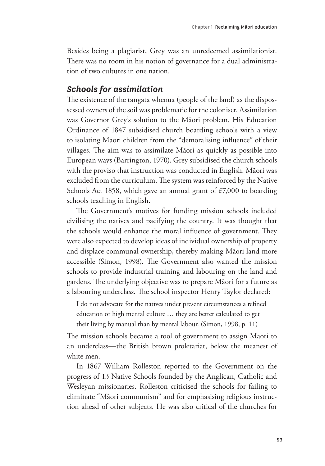Besides being a plagiarist, Grey was an unredeemed assimilationist. There was no room in his notion of governance for a dual administration of two cultures in one nation.

### *Schools for assimilation*

The existence of the tangata whenua (people of the land) as the dispossessed owners of the soil was problematic for the coloniser. Assimilation was Governor Grey's solution to the Māori problem. His Education Ordinance of 1847 subsidised church boarding schools with a view to isolating Māori children from the "demoralising influence" of their villages. The aim was to assimilate Māori as quickly as possible into European ways (Barrington, 1970). Grey subsidised the church schools with the proviso that instruction was conducted in English. Māori was excluded from the curriculum. The system was reinforced by the Native Schools Act 1858, which gave an annual grant of £7,000 to boarding schools teaching in English.

The Government's motives for funding mission schools included civilising the natives and pacifying the country. It was thought that the schools would enhance the moral influence of government. They were also expected to develop ideas of individual ownership of property and displace communal ownership, thereby making Māori land more accessible (Simon, 1998). The Government also wanted the mission schools to provide industrial training and labouring on the land and gardens. The underlying objective was to prepare Māori for a future as a labouring underclass. The school inspector Henry Taylor declared:

I do not advocate for the natives under present circumstances a refined education or high mental culture … they are better calculated to get their living by manual than by mental labour. (Simon, 1998, p. 11)

The mission schools became a tool of government to assign Māori to an underclass—the British brown proletariat, below the meanest of white men.

In 1867 William Rolleston reported to the Government on the progress of 13 Native Schools founded by the Anglican, Catholic and Wesleyan missionaries. Rolleston criticised the schools for failing to eliminate "Māori communism" and for emphasising religious instruction ahead of other subjects. He was also critical of the churches for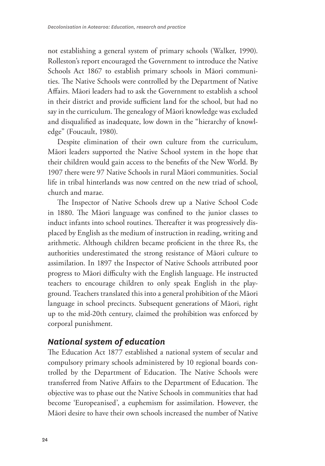not establishing a general system of primary schools (Walker, 1990). Rolleston's report encouraged the Government to introduce the Native Schools Act 1867 to establish primary schools in Māori communities. The Native Schools were controlled by the Department of Native Affairs. Māori leaders had to ask the Government to establish a school in their district and provide sufficient land for the school, but had no say in the curriculum. The genealogy of Māori knowledge was excluded and disqualified as inadequate, low down in the "hierarchy of knowledge" (Foucault, 1980).

Despite elimination of their own culture from the curriculum, Māori leaders supported the Native School system in the hope that their children would gain access to the benefits of the New World. By 1907 there were 97 Native Schools in rural Māori communities. Social life in tribal hinterlands was now centred on the new triad of school, church and marae.

The Inspector of Native Schools drew up a Native School Code in 1880. The Māori language was confined to the junior classes to induct infants into school routines. Thereafter it was progressively displaced by English as the medium of instruction in reading, writing and arithmetic. Although children became proficient in the three Rs, the authorities underestimated the strong resistance of Māori culture to assimilation. In 1897 the Inspector of Native Schools attributed poor progress to Māori difficulty with the English language. He instructed teachers to encourage children to only speak English in the playground. Teachers translated this into a general prohibition of the Māori language in school precincts. Subsequent generations of Māori, right up to the mid-20th century, claimed the prohibition was enforced by corporal punishment.

### *National system of education*

The Education Act 1877 established a national system of secular and compulsory primary schools administered by 10 regional boards controlled by the Department of Education. The Native Schools were transferred from Native Affairs to the Department of Education. The objective was to phase out the Native Schools in communities that had become 'Europeanised', a euphemism for assimilation. However, the Māori desire to have their own schools increased the number of Native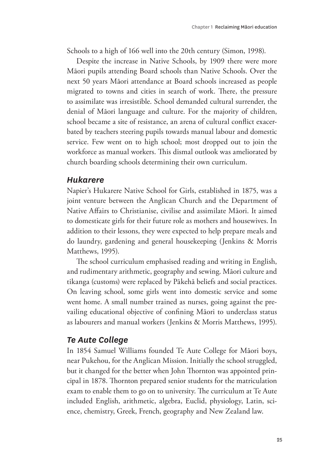Schools to a high of 166 well into the 20th century (Simon, 1998).

Despite the increase in Native Schools, by 1909 there were more Māori pupils attending Board schools than Native Schools. Over the next 50 years Māori attendance at Board schools increased as people migrated to towns and cities in search of work. There, the pressure to assimilate was irresistible. School demanded cultural surrender, the denial of Māori language and culture. For the majority of children, school became a site of resistance, an arena of cultural conflict exacerbated by teachers steering pupils towards manual labour and domestic service. Few went on to high school; most dropped out to join the workforce as manual workers. This dismal outlook was ameliorated by church boarding schools determining their own curriculum.

### *Hukarere*

Napier's Hukarere Native School for Girls, established in 1875, was a joint venture between the Anglican Church and the Department of Native Affairs to Christianise, civilise and assimilate Māori. It aimed to domesticate girls for their future role as mothers and housewives. In addition to their lessons, they were expected to help prepare meals and do laundry, gardening and general housekeeping (Jenkins & Morris Matthews, 1995).

The school curriculum emphasised reading and writing in English, and rudimentary arithmetic, geography and sewing. Māori culture and tikanga (customs) were replaced by Pākehā beliefs and social practices. On leaving school, some girls went into domestic service and some went home. A small number trained as nurses, going against the prevailing educational objective of confining Māori to underclass status as labourers and manual workers (Jenkins & Morris Matthews, 1995).

### *Te Aute College*

In 1854 Samuel Williams founded Te Aute College for Māori boys, near Pukehou, for the Anglican Mission. Initially the school struggled, but it changed for the better when John Thornton was appointed principal in 1878. Thornton prepared senior students for the matriculation exam to enable them to go on to university. The curriculum at Te Aute included English, arithmetic, algebra, Euclid, physiology, Latin, science, chemistry, Greek, French, geography and New Zealand law.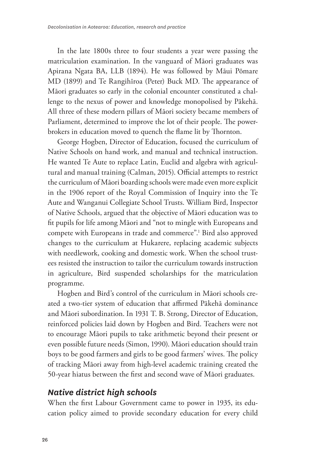In the late 1800s three to four students a year were passing the matriculation examination. In the vanguard of Māori graduates was Apirana Ngata BA, LLB (1894). He was followed by Māui Pōmare MD (1899) and Te Rangihīroa (Peter) Buck MD. The appearance of Māori graduates so early in the colonial encounter constituted a challenge to the nexus of power and knowledge monopolised by Pākehā. All three of these modern pillars of Māori society became members of Parliament, determined to improve the lot of their people. The powerbrokers in education moved to quench the flame lit by Thornton.

George Hogben, Director of Education, focused the curriculum of Native Schools on hand work, and manual and technical instruction. He wanted Te Aute to replace Latin, Euclid and algebra with agricultural and manual training (Calman, 2015). Official attempts to restrict the curriculum of Māori boarding schools were made even more explicit in the 1906 report of the Royal Commission of Inquiry into the Te Aute and Wanganui Collegiate School Trusts. William Bird, Inspector of Native Schools, argued that the objective of Māori education was to fit pupils for life among Māori and "not to mingle with Europeans and compete with Europeans in trade and commerce".1 Bird also approved changes to the curriculum at Hukarere, replacing academic subjects with needlework, cooking and domestic work. When the school trustees resisted the instruction to tailor the curriculum towards instruction in agriculture, Bird suspended scholarships for the matriculation programme.

Hogben and Bird's control of the curriculum in Māori schools created a two-tier system of education that affirmed Pākehā dominance and Māori subordination. In 1931 T. B. Strong, Director of Education, reinforced policies laid down by Hogben and Bird. Teachers were not to encourage Māori pupils to take arithmetic beyond their present or even possible future needs (Simon, 1990). Māori education should train boys to be good farmers and girls to be good farmers' wives. The policy of tracking Māori away from high-level academic training created the 50-year hiatus between the first and second wave of Māori graduates.

### *Native district high schools*

When the first Labour Government came to power in 1935, its education policy aimed to provide secondary education for every child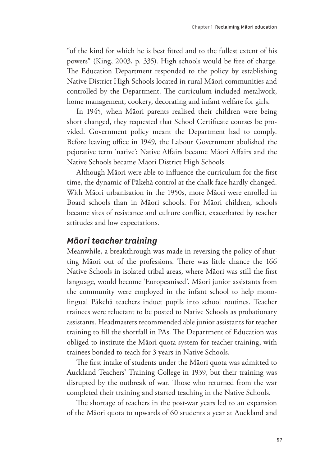"of the kind for which he is best fitted and to the fullest extent of his powers" (King, 2003, p. 335). High schools would be free of charge. The Education Department responded to the policy by establishing Native District High Schools located in rural Māori communities and controlled by the Department. The curriculum included metalwork, home management, cookery, decorating and infant welfare for girls.

In 1945, when Māori parents realised their children were being short changed, they requested that School Certificate courses be provided. Government policy meant the Department had to comply. Before leaving office in 1949, the Labour Government abolished the pejorative term 'native': Native Affairs became Māori Affairs and the Native Schools became Māori District High Schools.

Although Māori were able to influence the curriculum for the first time, the dynamic of Pākehā control at the chalk face hardly changed. With Māori urbanisation in the 1950s, more Māori were enrolled in Board schools than in Māori schools. For Māori children, schools became sites of resistance and culture conflict, exacerbated by teacher attitudes and low expectations.

### *Māori teacher training*

Meanwhile, a breakthrough was made in reversing the policy of shutting Māori out of the professions. There was little chance the 166 Native Schools in isolated tribal areas, where Māori was still the first language, would become 'Europeanised'. Māori junior assistants from the community were employed in the infant school to help monolingual Pākehā teachers induct pupils into school routines. Teacher trainees were reluctant to be posted to Native Schools as probationary assistants. Headmasters recommended able junior assistants for teacher training to fill the shortfall in PAs. The Department of Education was obliged to institute the Māori quota system for teacher training, with trainees bonded to teach for 3 years in Native Schools.

The first intake of students under the Māori quota was admitted to Auckland Teachers' Training College in 1939, but their training was disrupted by the outbreak of war. Those who returned from the war completed their training and started teaching in the Native Schools.

The shortage of teachers in the post-war years led to an expansion of the Māori quota to upwards of 60 students a year at Auckland and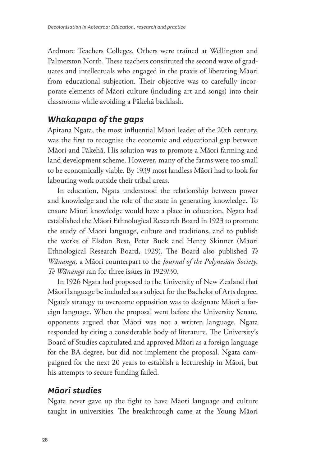Ardmore Teachers Colleges. Others were trained at Wellington and Palmerston North. These teachers constituted the second wave of graduates and intellectuals who engaged in the praxis of liberating Māori from educational subjection. Their objective was to carefully incorporate elements of Māori culture (including art and songs) into their classrooms while avoiding a Pākehā backlash.

### *Whakapapa of the gaps*

Apirana Ngata, the most influential Māori leader of the 20th century, was the first to recognise the economic and educational gap between Māori and Pākehā. His solution was to promote a Māori farming and land development scheme. However, many of the farms were too small to be economically viable. By 1939 most landless Māori had to look for labouring work outside their tribal areas.

In education, Ngata understood the relationship between power and knowledge and the role of the state in generating knowledge. To ensure Māori knowledge would have a place in education, Ngata had established the Māori Ethnological Research Board in 1923 to promote the study of Māori language, culture and traditions, and to publish the works of Elsdon Best, Peter Buck and Henry Skinner (Māori Ethnological Research Board, 1929). The Board also published *Te Wānanga,* a Māori counterpart to the *Journal of the Polynesian Society*. *Te Wānanga* ran for three issues in 1929/30.

In 1926 Ngata had proposed to the University of New Zealand that Māori language be included as a subject for the Bachelor of Arts degree. Ngata's strategy to overcome opposition was to designate Māori a foreign language. When the proposal went before the University Senate, opponents argued that Māori was not a written language. Ngata responded by citing a considerable body of literature. The University's Board of Studies capitulated and approved Māori as a foreign language for the BA degree, but did not implement the proposal. Ngata campaigned for the next 20 years to establish a lectureship in Māori, but his attempts to secure funding failed.

### *Māori studies*

Ngata never gave up the fight to have Māori language and culture taught in universities. The breakthrough came at the Young Māori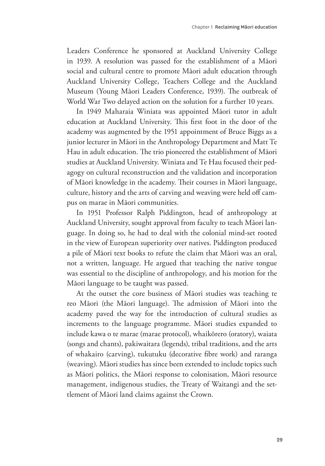Leaders Conference he sponsored at Auckland University College in 1939. A resolution was passed for the establishment of a Māori social and cultural centre to promote Māori adult education through Auckland University College, Teachers College and the Auckland Museum (Young Māori Leaders Conference, 1939). The outbreak of World War Two delayed action on the solution for a further 10 years.

In 1949 Maharaia Winiata was appointed Māori tutor in adult education at Auckland University. This first foot in the door of the academy was augmented by the 1951 appointment of Bruce Biggs as a junior lecturer in Māori in the Anthropology Department and Matt Te Hau in adult education. The trio pioneered the establishment of Māori studies at Auckland University. Winiata and Te Hau focused their pedagogy on cultural reconstruction and the validation and incorporation of Māori knowledge in the academy. Their courses in Māori language, culture, history and the arts of carving and weaving were held off campus on marae in Māori communities.

In 1951 Professor Ralph Piddington, head of anthropology at Auckland University, sought approval from faculty to teach Māori language. In doing so, he had to deal with the colonial mind-set rooted in the view of European superiority over natives. Piddington produced a pile of Māori text books to refute the claim that Māori was an oral, not a written, language. He argued that teaching the native tongue was essential to the discipline of anthropology, and his motion for the Māori language to be taught was passed.

At the outset the core business of Māori studies was teaching te reo Māori (the Māori language). The admission of Māori into the academy paved the way for the introduction of cultural studies as increments to the language programme. Māori studies expanded to include kawa o te marae (marae protocol), whaikōrero (oratory), waiata (songs and chants), pakiwaitara (legends), tribal traditions, and the arts of whakairo (carving), tukutuku (decorative fibre work) and raranga (weaving). Māori studies has since been extended to include topics such as Māori politics, the Māori response to colonisation, Māori resource management, indigenous studies, the Treaty of Waitangi and the settlement of Māori land claims against the Crown.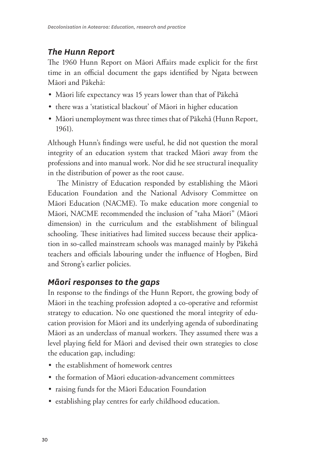## *The Hunn Report*

The 1960 Hunn Report on Māori Affairs made explicit for the first time in an official document the gaps identified by Ngata between Māori and Pākehā:

- Māori life expectancy was 15 years lower than that of Pākehā
- there was a 'statistical blackout' of Māori in higher education
- Māori unemployment was three times that of Pākehā (Hunn Report, 1961).

Although Hunn's findings were useful, he did not question the moral integrity of an education system that tracked Māori away from the professions and into manual work. Nor did he see structural inequality in the distribution of power as the root cause.

The Ministry of Education responded by establishing the Māori Education Foundation and the National Advisory Committee on Māori Education (NACME). To make education more congenial to Māori, NACME recommended the inclusion of "taha Māori" (Māori dimension) in the curriculum and the establishment of bilingual schooling. These initiatives had limited success because their application in so-called mainstream schools was managed mainly by Pākehā teachers and officials labouring under the influence of Hogben, Bird and Strong's earlier policies.

# *Māori responses to the gaps*

In response to the findings of the Hunn Report, the growing body of Māori in the teaching profession adopted a co-operative and reformist strategy to education. No one questioned the moral integrity of education provision for Māori and its underlying agenda of subordinating Māori as an underclass of manual workers. They assumed there was a level playing field for Māori and devised their own strategies to close the education gap, including:

- the establishment of homework centres
- the formation of Māori education-advancement committees
- raising funds for the Māori Education Foundation
- establishing play centres for early childhood education.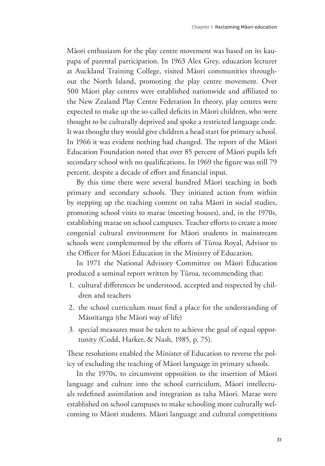Māori enthusiasm for the play centre movement was based on its kaupapa of parental participation. In 1963 Alex Grey, education lecturer at Auckland Training College, visited Māori communities throughout the North Island, promoting the play centre movement. Over 500 Māori play centres were established nationwide and affiliated to the New Zealand Play Centre Federation In theory, play centres were expected to make up the so-called deficits in Māori children, who were thought to be culturally deprived and spoke a restricted language code. It was thought they would give children a head start for primary school. In 1966 it was evident nothing had changed. The report of the Māori Education Foundation noted that over 85 percent of Māori pupils left secondary school with no qualifications. In 1969 the figure was still 79 percent, despite a decade of effort and financial input.

By this time there were several hundred Māori teaching in both primary and secondary schools. They initiated action from within by stepping up the teaching content on taha Māori in social studies, promoting school visits to marae (meeting houses), and, in the 1970s, establishing marae on school campuses. Teacher efforts to create a more congenial cultural environment for Māori students in mainstream schools were complemented by the efforts of Tūroa Royal, Advisor to the Officer for Māori Education in the Ministry of Education.

In 1971 the National Advisory Committee on Māori Education produced a seminal report written by Tūroa, recommending that:

- 1. cultural differences be understood, accepted and respected by children and teachers
- 2. the school curriculum must find a place for the understanding of Māoritanga (the Māori way of life)
- 3. special measures must be taken to achieve the goal of equal opportunity (Codd, Harker, & Nash, 1985, p. 75).

These resolutions enabled the Minister of Education to reverse the policy of excluding the teaching of Māori language in primary schools.

In the 1970s, to circumvent opposition to the insertion of Māori language and culture into the school curriculum, Māori intellectuals redefined assimilation and integration as taha Māori. Marae were established on school campuses to make schooling more culturally welcoming to Māori students. Māori language and cultural competitions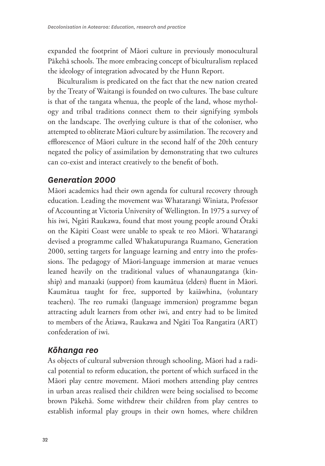expanded the footprint of Māori culture in previously monocultural Pākehā schools. The more embracing concept of biculturalism replaced the ideology of integration advocated by the Hunn Report.

Biculturalism is predicated on the fact that the new nation created by the Treaty of Waitangi is founded on two cultures. The base culture is that of the tangata whenua, the people of the land, whose mythology and tribal traditions connect them to their signifying symbols on the landscape. The overlying culture is that of the coloniser, who attempted to obliterate Māori culture by assimilation. The recovery and efflorescence of Māori culture in the second half of the 20th century negated the policy of assimilation by demonstrating that two cultures can co-exist and interact creatively to the benefit of both.

### *Generation 2000*

Māori academics had their own agenda for cultural recovery through education. Leading the movement was Whatarangi Winiata, Professor of Accounting at Victoria University of Wellington. In 1975 a survey of his iwi, Ngāti Raukawa, found that most young people around Ōtaki on the Kāpiti Coast were unable to speak te reo Māori. Whatarangi devised a programme called Whakatupuranga Ruamano, Generation 2000, setting targets for language learning and entry into the professions. The pedagogy of Māori-language immersion at marae venues leaned heavily on the traditional values of whanaungatanga (kinship) and manaaki (support) from kaumātua (elders) fluent in Māori. Kaumātua taught for free, supported by kaiāwhina, (voluntary teachers). The reo rumaki (language immersion) programme began attracting adult learners from other iwi, and entry had to be limited to members of the Ātiawa, Raukawa and Ngāti Toa Rangatira (ART) confederation of iwi.

### *Kōhanga reo*

As objects of cultural subversion through schooling, Māori had a radical potential to reform education, the portent of which surfaced in the Māori play centre movement. Māori mothers attending play centres in urban areas realised their children were being socialised to become brown Pākehā. Some withdrew their children from play centres to establish informal play groups in their own homes, where children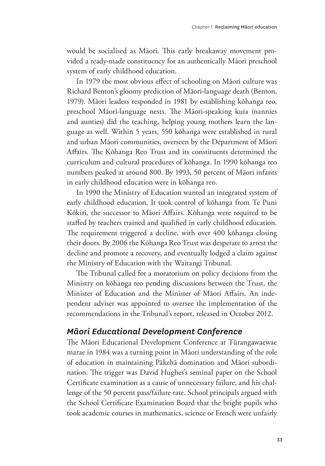would be socialised as Māori. This early breakaway movement provided a ready-made constituency for an authentically Māori preschool system of early childhood education.

In 1979 the most obvious effect of schooling on Māori culture was Richard Benton's gloomy prediction of Māori-language death (Benton, 1979). Māori leaders responded in 1981 by establishing kōhanga reo, preschool Māori-language nests. The Māori-speaking kuia (nannies and aunties) did the teaching, helping young mothers learn the language as well. Within 5 years, 550 kōhanga were established in rural and urban Māori communities, overseen by the Department of Māori Affairs. The Kōhanga Reo Trust and its constituents determined the curriculum and cultural procedures of kōhanga. In 1990 kōhanga reo numbers peaked at around 800. By 1993, 50 percent of Māori infants in early childhood education were in kōhanga reo.

In 1990 the Ministry of Education wanted an integrated system of early childhood education. It took control of kōhanga from Te Puni Kōkiri, the successor to Māori Affairs. Kōhanga were required to be staffed by teachers trained and qualified in early childhood education. The requirement triggered a decline, with over 400 kōhanga closing their doors. By 2006 the Kōhanga Reo Trust was desperate to arrest the decline and promote a recovery, and eventually lodged a claim against the Ministry of Education with the Waitangi Tribunal.

The Tribunal called for a moratorium on policy decisions from the Ministry on kōhanga reo pending discussions between the Trust, the Minister of Education and the Minister of Māori Affairs. An independent adviser was appointed to oversee the implementation of the recommendations in the Tribunal's report, released in October 2012.

### *Māori Educational Development Conference*

The Māori Educational Development Conference at Tūrangawaewae marae in 1984 was a turning point in Māori understanding of the role of education in maintaining Pākehā domination and Māori subordination. The trigger was David Hughes's seminal paper on the School Certificate examination as a cause of unnecessary failure, and his challenge of the 50 percent pass/failure rate. School principals argued with the School Certificate Examination Board that the bright pupils who took academic courses in mathematics, science or French were unfairly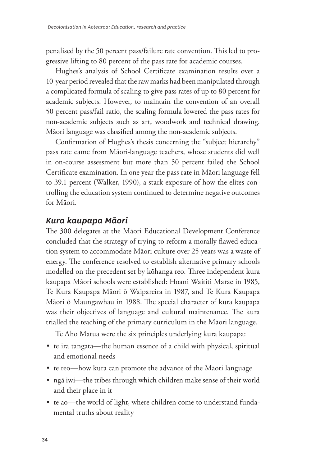penalised by the 50 percent pass/failure rate convention. This led to progressive lifting to 80 percent of the pass rate for academic courses.

Hughes's analysis of School Certificate examination results over a 10-year period revealed that the raw marks had been manipulated through a complicated formula of scaling to give pass rates of up to 80 percent for academic subjects. However, to maintain the convention of an overall 50 percent pass/fail ratio, the scaling formula lowered the pass rates for non-academic subjects such as art, woodwork and technical drawing. Māori language was classified among the non-academic subjects.

Confirmation of Hughes's thesis concerning the "subject hierarchy" pass rate came from Māori-language teachers, whose students did well in on-course assessment but more than 50 percent failed the School Certificate examination. In one year the pass rate in Māori language fell to 39.1 percent (Walker, 1990), a stark exposure of how the elites controlling the education system continued to determine negative outcomes for Māori.

### *Kura kaupapa Māori*

The 300 delegates at the Māori Educational Development Conference concluded that the strategy of trying to reform a morally flawed education system to accommodate Māori culture over 25 years was a waste of energy. The conference resolved to establish alternative primary schools modelled on the precedent set by kōhanga reo. Three independent kura kaupapa Māori schools were established: Hoani Waititi Marae in 1985, Te Kura Kaupapa Māori ō Waipareira in 1987, and Te Kura Kaupapa Māori ō Maungawhau in 1988. The special character of kura kaupapa was their objectives of language and cultural maintenance. The kura trialled the teaching of the primary curriculum in the Māori language.

Te Aho Matua were the six principles underlying kura kaupapa:

- te ira tangata—the human essence of a child with physical, spiritual and emotional needs
- te reo—how kura can promote the advance of the Māori language
- ngā iwi—the tribes through which children make sense of their world and their place in it
- te ao—the world of light, where children come to understand fundamental truths about reality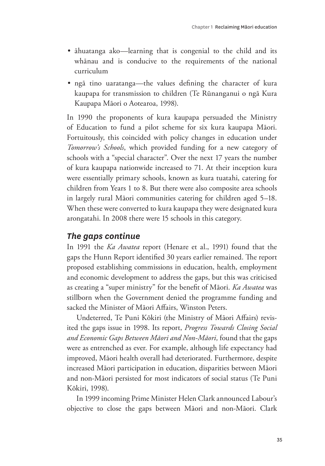- āhuatanga ako—learning that is congenial to the child and its whānau and is conducive to the requirements of the national curriculum
- ngā tino uaratanga—the values defining the character of kura kaupapa for transmission to children (Te Rūnanganui o ngā Kura Kaupapa Māori o Aotearoa, 1998).

In 1990 the proponents of kura kaupapa persuaded the Ministry of Education to fund a pilot scheme for six kura kaupapa Māori. Fortuitously, this coincided with policy changes in education under *Tomorrow's Schools*, which provided funding for a new category of schools with a "special character". Over the next 17 years the number of kura kaupapa nationwide increased to 71. At their inception kura were essentially primary schools, known as kura tuatahi, catering for children from Years 1 to 8. But there were also composite area schools in largely rural Māori communities catering for children aged 5–18. When these were converted to kura kaupapa they were designated kura arongatahi. In 2008 there were 15 schools in this category.

### *The gaps continue*

In 1991 the *Ka Awatea* report (Henare et al., 1991) found that the gaps the Hunn Report identified 30 years earlier remained. The report proposed establishing commissions in education, health, employment and economic development to address the gaps, but this was criticised as creating a "super ministry" for the benefit of Māori. *Ka Awatea* was stillborn when the Government denied the programme funding and sacked the Minister of Māori Affairs, Winston Peters.

Undeterred, Te Puni Kōkiri (the Ministry of Māori Affairs) revisited the gaps issue in 1998. Its report, *Progress Towards Closing Social and Economic Gaps Between Māori and Non-Māori,* found that the gaps were as entrenched as ever. For example, although life expectancy had improved, Māori health overall had deteriorated. Furthermore, despite increased Māori participation in education, disparities between Māori and non-Māori persisted for most indicators of social status (Te Puni Kōkiri, 1998).

In 1999 incoming Prime Minister Helen Clark announced Labour's objective to close the gaps between Māori and non-Māori. Clark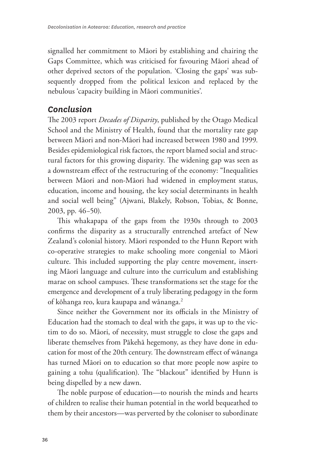signalled her commitment to Māori by establishing and chairing the Gaps Committee, which was criticised for favouring Māori ahead of other deprived sectors of the population. 'Closing the gaps' was subsequently dropped from the political lexicon and replaced by the nebulous 'capacity building in Māori communities'.

### *Conclusion*

The 2003 report *Decades of Disparity*, published by the Otago Medical School and the Ministry of Health, found that the mortality rate gap between Māori and non-Māori had increased between 1980 and 1999. Besides epidemiological risk factors, the report blamed social and structural factors for this growing disparity. The widening gap was seen as a downstream effect of the restructuring of the economy: "Inequalities between Māori and non-Māori had widened in employment status, education, income and housing, the key social determinants in health and social well being" (Ajwani, Blakely, Robson, Tobias, & Bonne, 2003, pp. 46−50).

This whakapapa of the gaps from the 1930s through to 2003 confirms the disparity as a structurally entrenched artefact of New Zealand's colonial history. Māori responded to the Hunn Report with co-operative strategies to make schooling more congenial to Māori culture. This included supporting the play centre movement, inserting Māori language and culture into the curriculum and establishing marae on school campuses. These transformations set the stage for the emergence and development of a truly liberating pedagogy in the form of kōhanga reo, kura kaupapa and wānanga.<sup>2</sup>

Since neither the Government nor its officials in the Ministry of Education had the stomach to deal with the gaps, it was up to the victim to do so. Māori, of necessity, must struggle to close the gaps and liberate themselves from Pākehā hegemony, as they have done in education for most of the 20th century. The downstream effect of wānanga has turned Māori on to education so that more people now aspire to gaining a tohu (qualification). The "blackout" identified by Hunn is being dispelled by a new dawn.

The noble purpose of education—to nourish the minds and hearts of children to realise their human potential in the world bequeathed to them by their ancestors—was perverted by the coloniser to subordinate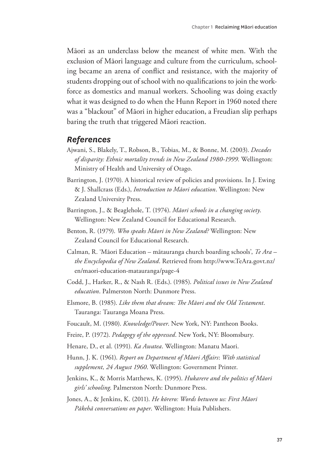Māori as an underclass below the meanest of white men. With the exclusion of Māori language and culture from the curriculum, schooling became an arena of conflict and resistance, with the majority of students dropping out of school with no qualifications to join the workforce as domestics and manual workers. Schooling was doing exactly what it was designed to do when the Hunn Report in 1960 noted there was a "blackout" of Māori in higher education, a Freudian slip perhaps baring the truth that triggered Māori reaction.

#### *References*

- Ajwani, S., Blakely, T., Robson, B., Tobias, M., & Bonne, M. (2003). *Decades of disparity: Ethnic mortality trends in New Zealand 1980-1999*. Wellington: Ministry of Health and University of Otago.
- Barrington, J. (1970). A historical review of policies and provisions. In J. Ewing & J. Shallcrass (Eds.), *Introduction to Māori education*. Wellington: New Zealand University Press.
- Barrington, J., & Beaglehole, T. (1974). *Māori schools in a changing society*. Wellington: New Zealand Council for Educational Research.
- Benton, R. (1979). *Who speaks Māori in New Zealand?* Wellington: New Zealand Council for Educational Research.
- Calman, R. 'Māori Education mātauranga church boarding schools', *Te Ara the Encyclopedia of New Zealand*. Retrieved from http://www.TeAra.govt.nz/ en/maori-education-matauranga/page-4
- Codd, J., Harker, R., & Nash R. (Eds.). (1985). *Political issues in New Zealand education*. Palmerston North: Dunmore Press.
- Elsmore, B. (1985). *Like them that dream: The Māori and the Old Testament*. Tauranga: Tauranga Moana Press.
- Foucault, M. (1980). *Knowledge/Power*. New York, NY: Pantheon Books.
- Freire, P. (1972). *Pedagogy of the oppressed*. New York, NY: Bloomsbury.
- Henare, D., et al. (1991). *Ka Awatea*. Wellington: Manatu Maori.
- Hunn, J. K. (1961). *Report on Department of Māori Affairs*: *With statistical supplement, 24 August 1960*. Wellington: Government Printer.
- Jenkins, K., & Morris Matthews, K. (1995). *Hukarere and the politics of Māori girls' schooling*. Palmerston North: Dunmore Press.
- Jones, A., & Jenkins, K. (2011). *He kōrero: Words between us: First Māori Pākehā conversations on paper*. Wellington: Huia Publishers.